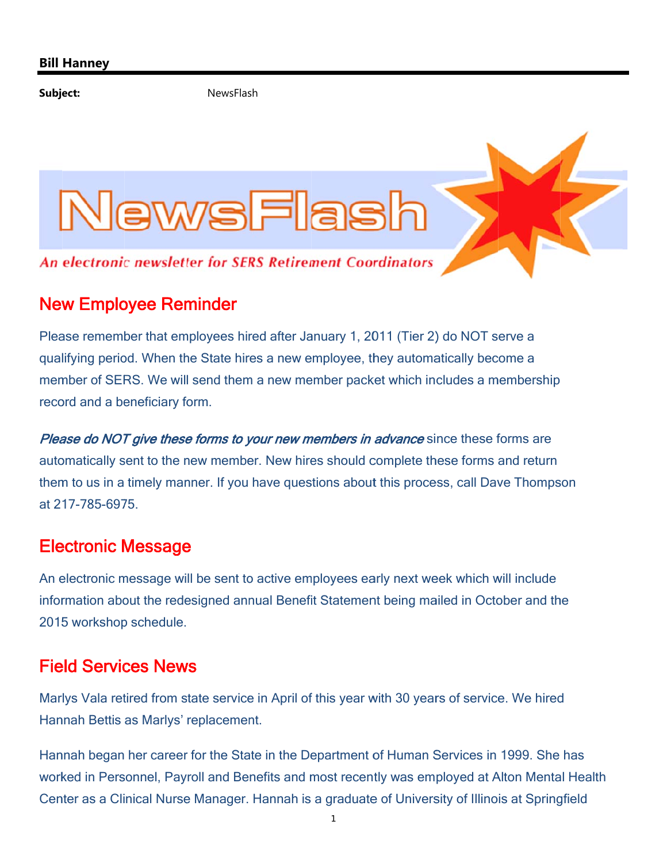Subject:

NewsFlash



## **New Employee Reminder**

Please remember that employees hired after January 1, 2011 (Tier 2) do NOT serve a qualifying period. When the State hires a new employee, they automatically become a member of SERS. We will send them a new member packet which includes a membership record and a beneficiary form.

Please do NOT give these forms to your new members in advance since these forms are automatically sent to the new member. New hires should complete these forms and return them to us in a timely manner. If you have questions about this process, call Dave Thompson at 217-785-6975

## **Electronic Message**

An electronic message will be sent to active employees early next week which will include information about the redesigned annual Benefit Statement being mailed in October and the 2015 workshop schedule.

## **Field Services News**

Marlys Vala retired from state service in April of this year with 30 years of service. We hired Hannah Bettis as Marlys' replacement.

Hannah began her career for the State in the Department of Human Services in 1999. She has worked in Personnel, Payroll and Benefits and most recently was employed at Alton Mental Health Center as a Clinical Nurse Manager. Hannah is a graduate of University of Illinois at Springfield